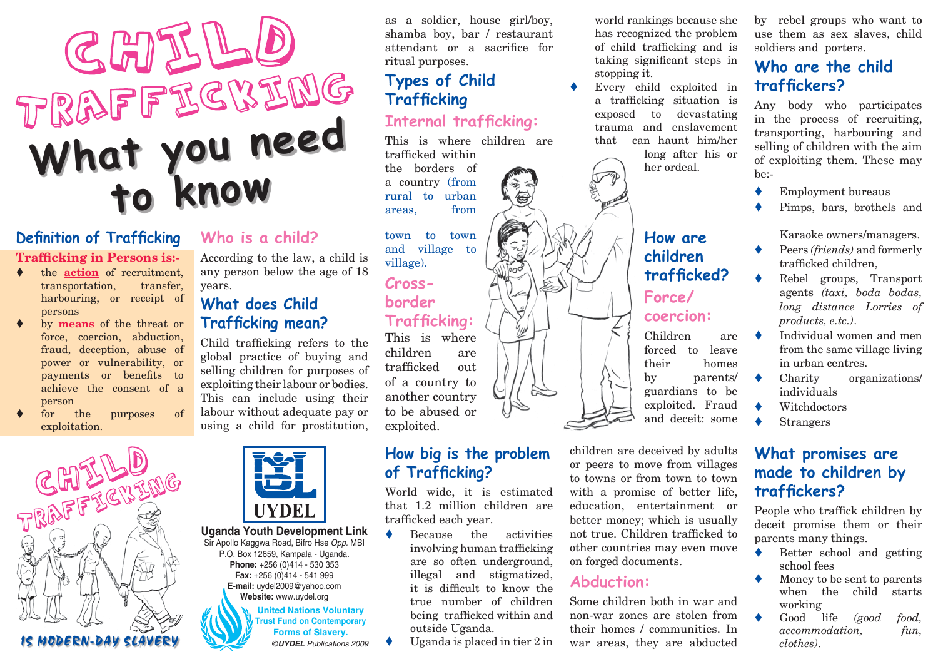# CHILLO **What you need to know**

# **Definition of Trafficking**

#### **Trafficking in Persons is:-**

- the **action** of recruitment, transportation, transfer, harbouring, or receipt of persons
- by **means** of the threat or force, coercion, abduction, fraud, deception, abuse of power or vulnerability, or payments or benefits to achieve the consent of a person
- for the purposes of exploitation.



#### **Who is a child?**

According to the law, a child is any person below the age of 18 years.

## **What does Child Trafficking mean?**

Child trafficking refers to the global practice of buying and selling children for purposes of exploiting their labour or bodies. This can include using their labour without adequate pay or using a child for prostitution,



**United Nations Voluntary Trust Fund on Contemporary Forms of Slavery. Uganda Youth Development Link**  Sir Apollo Kaggwa Road, Bifro Hse *Opp.* MBI P.O. Box 12659, Kampala - Uganda. **Phone:** +256 (0)414 - 530 353 **Fax:** +256 (0)414 - 541 999 **E-mail:** uydel2009@yahoo.com **Website:** www.uydel.org ©*UYDEL Publications 2009*

as a soldier, house girl/boy, shamba boy, bar / restaurant attendant or a sacrifice for ritual purposes.

# **Types of Child Trafficking**

#### **Internal trafficking:**

This is where children are trafficked within

信

the borders of a country (from rural to urban areas, from

town to town and village to village).

# **Crossborder Trafficking:**

This is where children are trafficked out of a country to another country to be abused or exploited.

#### **How big is the problem of Trafficking?**

World wide, it is estimated that 1.2 million children are trafficked each year.

- $\bullet$  Because the activities involving human trafficking are so often underground, illegal and stigmatized, it is difficult to know the true number of children being trafficked within and outside Uganda.
- Uganda is placed in tier  $2$  in

world rankings because she has recognized the problem of child trafficking and is taking significant steps in stopping it.

Every child exploited in a trafficking situation is exposed to devastating trauma and enslavement that can haunt him/her long after his or

her ordeal.

**How are children** 

**Force/ coercion:**

**trafficked?** 

Children are forced to leave their homes by parents/ guardians to be exploited. Fraud and deceit: some



children are deceived by adults or peers to move from villages to towns or from town to town with a promise of better life, education, entertainment or better money; which is usually not true. Children trafficked to other countries may even move on forged documents.

#### **Abduction:**

Some children both in war and non-war zones are stolen from their homes / communities. In war areas, they are abducted

by rebel groups who want to use them as sex slaves, child soldiers and porters.

## **Who are the child traffickers?**

Any body who participates in the process of recruiting, transporting, harbouring and selling of children with the aim of exploiting them. These may  $he-$ 

- Employment bureaus
- Pimps, bars, brothels and

Karaoke owners/managers.

- Peers (friends) and formerly trafficked children,
- Rebel groups, Transport agents *(taxi, boda bodas, long distance Lorries of products, e.tc.)*.
- Individual women and men from the same village living in urban centres.
- $\bullet$  Charity organizations/ individuals
- $\bullet$  Witchdoctors
- $\triangle$  Strangers

#### **What promises are made to children by traffickers?**

People who traffick children by deceit promise them or their parents many things.

- $\bullet$  Better school and getting school fees
- $\blacklozenge$  Money to be sent to parents when the child starts working
- Good life *(good food, accommodation, fun, clothes)*.